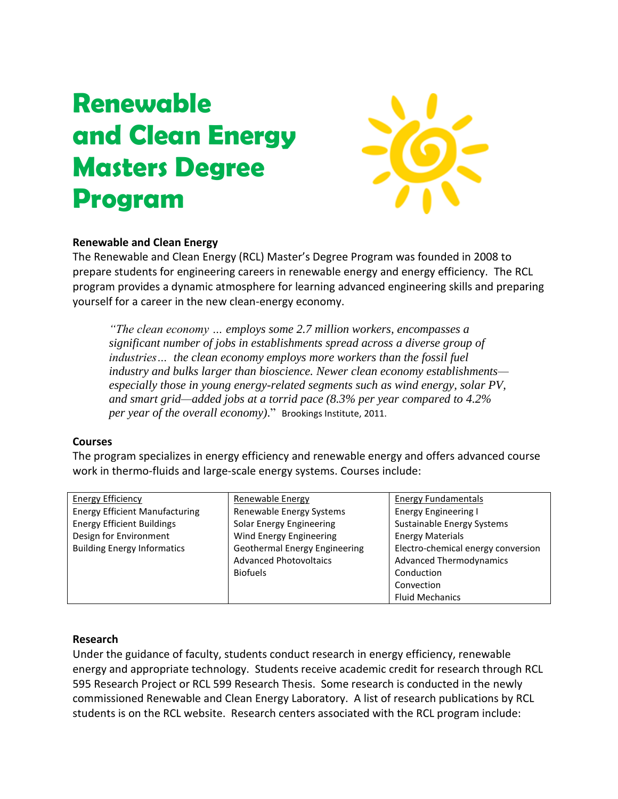# **Renewable and Clean Energy Masters Degree Program**



# **Renewable and Clean Energy**

The Renewable and Clean Energy (RCL) Master's Degree Program was founded in 2008 to prepare students for engineering careers in renewable energy and energy efficiency. The RCL program provides a dynamic atmosphere for learning advanced engineering skills and preparing yourself for a career in the new clean-energy economy.

*"The clean economy … employs some 2.7 million workers, encompasses a significant number of jobs in establishments spread across a diverse group of industries… the clean economy employs more workers than the fossil fuel industry and bulks larger than bioscience. Newer clean economy establishments especially those in young energy-related segments such as wind energy, solar PV, and smart grid—added jobs at a torrid pace (8.3% per year compared to 4.2% per year of the overall economy)*." Brookings Institute, 2011.

#### **Courses**

The program specializes in energy efficiency and renewable energy and offers advanced course work in thermo-fluids and large-scale energy systems. Courses include:

| <b>Energy Efficiency</b>              | <b>Renewable Energy</b>       | <b>Energy Fundamentals</b>         |
|---------------------------------------|-------------------------------|------------------------------------|
| <b>Energy Efficient Manufacturing</b> | Renewable Energy Systems      | <b>Energy Engineering I</b>        |
| <b>Energy Efficient Buildings</b>     | Solar Energy Engineering      | Sustainable Energy Systems         |
| Design for Environment                | Wind Energy Engineering       | <b>Energy Materials</b>            |
| <b>Building Energy Informatics</b>    | Geothermal Energy Engineering | Electro-chemical energy conversion |
|                                       | <b>Advanced Photovoltaics</b> | <b>Advanced Thermodynamics</b>     |
|                                       | <b>Biofuels</b>               | Conduction                         |
|                                       |                               | Convection                         |
|                                       |                               | <b>Fluid Mechanics</b>             |

# **Research**

Under the guidance of faculty, students conduct research in energy efficiency, renewable energy and appropriate technology. Students receive academic credit for research through RCL 595 Research Project or RCL 599 Research Thesis. Some research is conducted in the newly commissioned Renewable and Clean Energy Laboratory. A list of research publications by RCL students is on the RCL website. Research centers associated with the RCL program include: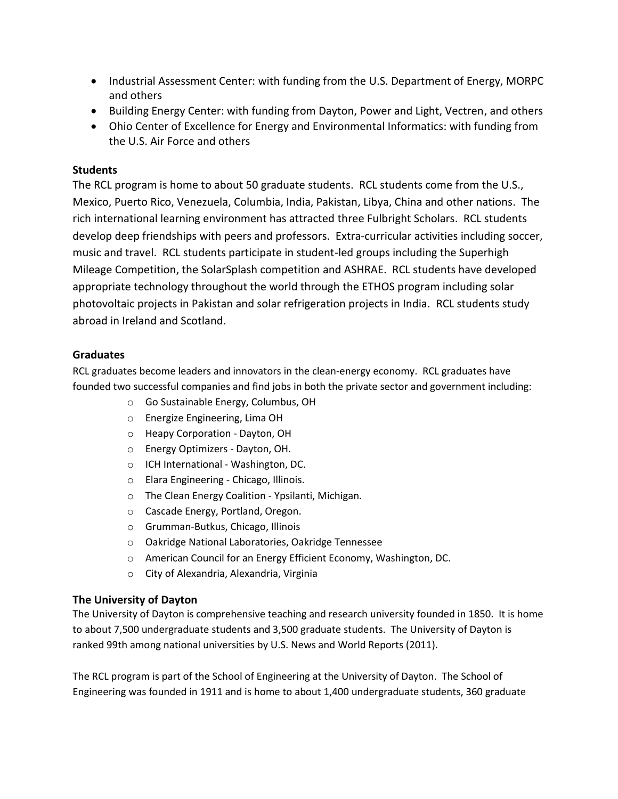- Industrial Assessment Center: with funding from the U.S. Department of Energy, MORPC and others
- Building Energy Center: with funding from Dayton, Power and Light, Vectren, and others
- Ohio Center of Excellence for Energy and Environmental Informatics: with funding from the U.S. Air Force and others

#### **Students**

The RCL program is home to about 50 graduate students. RCL students come from the U.S., Mexico, Puerto Rico, Venezuela, Columbia, India, Pakistan, Libya, China and other nations. The rich international learning environment has attracted three Fulbright Scholars. RCL students develop deep friendships with peers and professors. Extra-curricular activities including soccer, music and travel. RCL students participate in student-led groups including the Superhigh Mileage Competition, the SolarSplash competition and ASHRAE. RCL students have developed appropriate technology throughout the world through the ETHOS program including solar photovoltaic projects in Pakistan and solar refrigeration projects in India. RCL students study abroad in Ireland and Scotland.

## **Graduates**

RCL graduates become leaders and innovators in the clean-energy economy. RCL graduates have founded two successful companies and find jobs in both the private sector and government including:

- o Go Sustainable Energy, Columbus, OH
- o Energize Engineering, Lima OH
- o Heapy Corporation Dayton, OH
- o Energy Optimizers Dayton, OH.
- o ICH International Washington, DC.
- o Elara Engineering Chicago, Illinois.
- o The Clean Energy Coalition Ypsilanti, Michigan.
- o Cascade Energy, Portland, Oregon.
- o Grumman-Butkus, Chicago, Illinois
- o Oakridge National Laboratories, Oakridge Tennessee
- o American Council for an Energy Efficient Economy, Washington, DC.
- o City of Alexandria, Alexandria, Virginia

#### **The University of Dayton**

The University of Dayton is comprehensive teaching and research university founded in 1850. It is home to about 7,500 undergraduate students and 3,500 graduate students. The University of Dayton is ranked 99th among national universities by U.S. News and World Reports (2011).

The RCL program is part of the School of Engineering at the University of Dayton. The School of Engineering was founded in 1911 and is home to about 1,400 undergraduate students, 360 graduate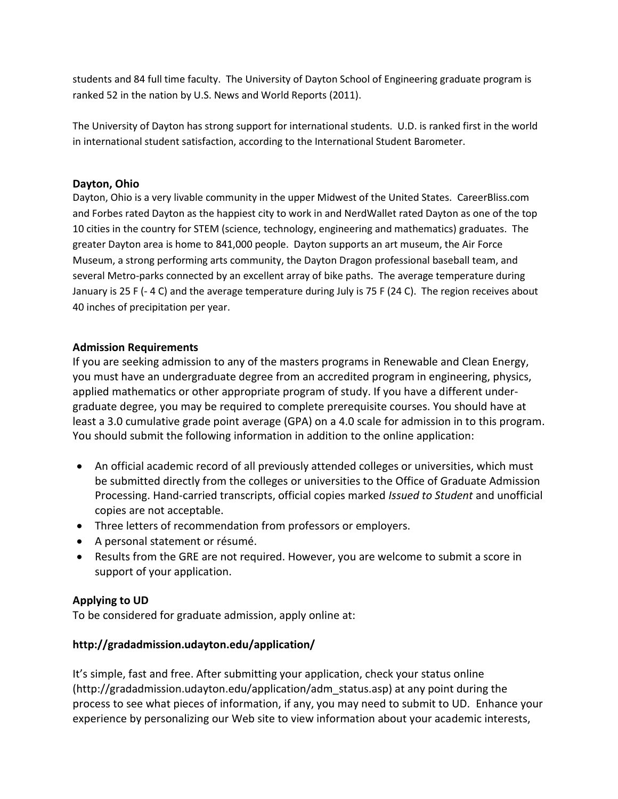students and 84 full time faculty. The University of Dayton School of Engineering graduate program is ranked 52 in the nation by U.S. News and World Reports (2011).

The University of Dayton has strong support for international students. U.D. is ranked first in the world in international student satisfaction, according to the International Student Barometer.

## **Dayton, Ohio**

Dayton, Ohio is a very livable community in the upper Midwest of the United States. CareerBliss.com and Forbes rated Dayton as the happiest city to work in and NerdWallet rated Dayton as one of the top 10 cities in the country for STEM (science, technology, engineering and mathematics) graduates. The greater Dayton area is home to 841,000 people. Dayton supports an art museum, the Air Force Museum, a strong performing arts community, the Dayton Dragon professional baseball team, and several Metro-parks connected by an excellent array of bike paths. The average temperature during January is 25 F (- 4 C) and the average temperature during July is 75 F (24 C). The region receives about 40 inches of precipitation per year.

#### **Admission Requirements**

If you are seeking admission to any of the masters programs in Renewable and Clean Energy, you must have an undergraduate degree from an accredited program in engineering, physics, applied mathematics or other appropriate program of study. If you have a different undergraduate degree, you may be required to complete prerequisite courses. You should have at least a 3.0 cumulative grade point average (GPA) on a 4.0 scale for admission in to this program. You should submit the following information in addition to the online application:

- An official academic record of all previously attended colleges or universities, which must be submitted directly from the colleges or universities to the Office of Graduate Admission Processing. Hand-carried transcripts, official copies marked *Issued to Student* and unofficial copies are not acceptable.
- Three letters of recommendation from professors or employers.
- A personal statement or résumé.
- Results from the GRE are not required. However, you are welcome to submit a score in support of your application.

#### **Applying to UD**

To be considered for graduate admission, apply online at:

#### **http://gradadmission.udayton.edu/application/**

It's simple, fast and free. After submitting your application, check your status online (http://gradadmission.udayton.edu/application/adm\_status.asp) at any point during the process to see what pieces of information, if any, you may need to submit to UD. Enhance your experience by personalizing our Web site to view information about your academic interests,